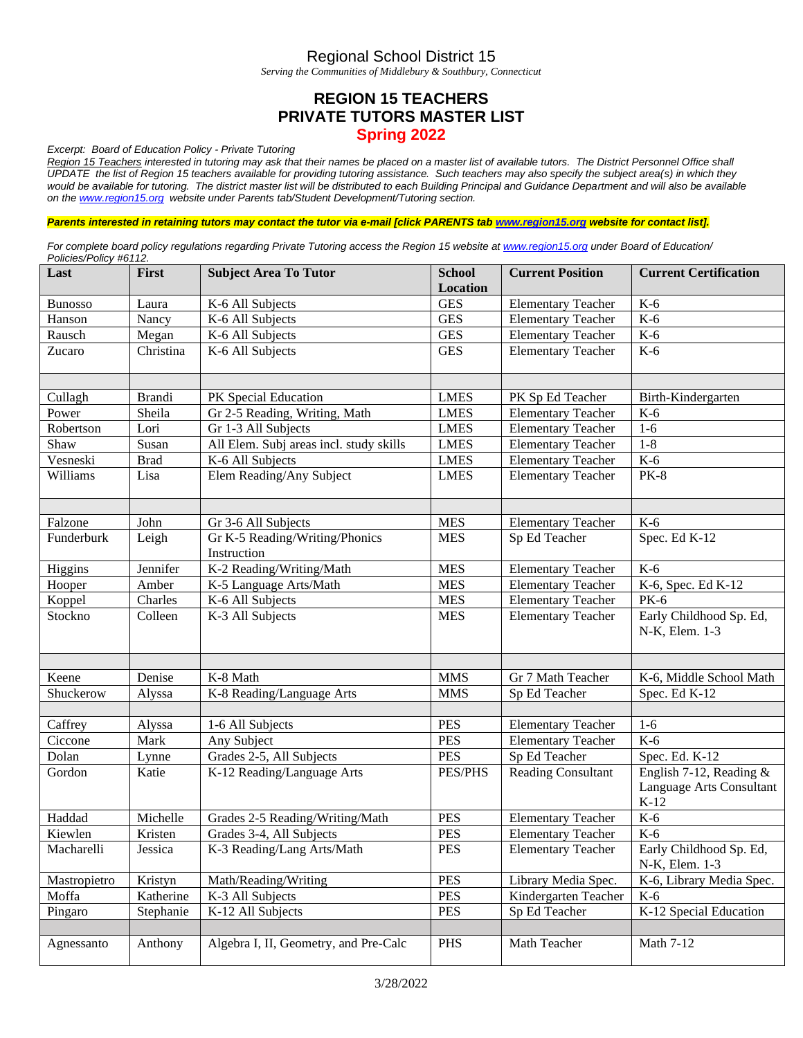## Regional School District 15

*Serving the Communities of Middlebury & Southbury, Connecticut*

## **REGION 15 TEACHERS PRIVATE TUTORS MASTER LIST Spring 2022**

*Excerpt: Board of Education Policy - Private Tutoring*

*Region 15 Teachers interested in tutoring may ask that their names be placed on a master list of available tutors. The District Personnel Office shall UPDATE the list of Region 15 teachers available for providing tutoring assistance. Such teachers may also specify the subject area(s) in which they*  would be available for tutoring. The district master list will be distributed to each Building Principal and Guidance Department and will also be available *on th[e www.region15.org](http://www.region15.org/) website under Parents tab/Student Development/Tutoring section.* 

*Parents interested in retaining tutors may contact the tutor via e-mail [click PARENTS tab [www.region15.org](http://www.region15.org/) website for contact list].*

*For complete board policy regulations regarding Private Tutoring access the Region 15 website a[t www.region15.org](http://www.region15.org/) under Board of Education/ Policies/Policy #6112.*

| Last           | First         | <b>Subject Area To Tutor</b>                  | <b>School</b> | <b>Current Position</b>   | <b>Current Certification</b>                                    |
|----------------|---------------|-----------------------------------------------|---------------|---------------------------|-----------------------------------------------------------------|
|                |               |                                               | Location      |                           |                                                                 |
| <b>Bunosso</b> | Laura         | K-6 All Subjects                              | <b>GES</b>    | <b>Elementary Teacher</b> | $K-6$                                                           |
| Hanson         | Nancy         | K-6 All Subjects                              | <b>GES</b>    | <b>Elementary Teacher</b> | $K-6$                                                           |
| Rausch         | Megan         | K-6 All Subjects                              | <b>GES</b>    | <b>Elementary Teacher</b> | $K-6$                                                           |
| Zucaro         | Christina     | K-6 All Subjects                              | <b>GES</b>    | <b>Elementary Teacher</b> | $K-6$                                                           |
|                |               |                                               |               |                           |                                                                 |
| Cullagh        | <b>Brandi</b> | PK Special Education                          | <b>LMES</b>   | PK Sp Ed Teacher          | Birth-Kindergarten                                              |
| Power          | Sheila        | Gr 2-5 Reading, Writing, Math                 | <b>LMES</b>   | <b>Elementary Teacher</b> | $K-6$                                                           |
| Robertson      | Lori          | Gr 1-3 All Subjects                           | <b>LMES</b>   | <b>Elementary Teacher</b> | $1-6$                                                           |
| Shaw           | Susan         | All Elem. Subj areas incl. study skills       | <b>LMES</b>   | <b>Elementary Teacher</b> | $1 - 8$                                                         |
| Vesneski       | <b>Brad</b>   | K-6 All Subjects                              | <b>LMES</b>   | <b>Elementary Teacher</b> | $K-6$                                                           |
| Williams       | Lisa          | Elem Reading/Any Subject                      | <b>LMES</b>   | <b>Elementary Teacher</b> | <b>PK-8</b>                                                     |
|                |               |                                               |               |                           |                                                                 |
| Falzone        | John          | Gr 3-6 All Subjects                           | <b>MES</b>    | <b>Elementary Teacher</b> | $K-6$                                                           |
| Funderburk     | Leigh         | Gr K-5 Reading/Writing/Phonics<br>Instruction | <b>MES</b>    | Sp Ed Teacher             | Spec. Ed K-12                                                   |
| Higgins        | Jennifer      | K-2 Reading/Writing/Math                      | <b>MES</b>    | <b>Elementary Teacher</b> | $K-6$                                                           |
| Hooper         | Amber         | K-5 Language Arts/Math                        | <b>MES</b>    | <b>Elementary Teacher</b> | K-6, Spec. Ed K-12                                              |
| Koppel         | Charles       | K-6 All Subjects                              | <b>MES</b>    | <b>Elementary Teacher</b> | <b>PK-6</b>                                                     |
| Stockno        | Colleen       | K-3 All Subjects                              | <b>MES</b>    | <b>Elementary Teacher</b> | Early Childhood Sp. Ed,<br>N-K, Elem. 1-3                       |
|                |               |                                               |               |                           |                                                                 |
| Keene          | Denise        | K-8 Math                                      | <b>MMS</b>    | Gr 7 Math Teacher         | K-6, Middle School Math                                         |
| Shuckerow      | Alyssa        | K-8 Reading/Language Arts                     | <b>MMS</b>    | Sp Ed Teacher             | Spec. Ed K-12                                                   |
|                |               |                                               |               |                           |                                                                 |
| Caffrey        | Alyssa        | 1-6 All Subjects                              | <b>PES</b>    | <b>Elementary Teacher</b> | $1-6$                                                           |
| Ciccone        | Mark          | Any Subject                                   | <b>PES</b>    | <b>Elementary Teacher</b> | $K-6$                                                           |
| Dolan          | Lynne         | Grades 2-5, All Subjects                      | <b>PES</b>    | Sp Ed Teacher             | Spec. Ed. K-12                                                  |
| Gordon         | Katie         | K-12 Reading/Language Arts                    | PES/PHS       | <b>Reading Consultant</b> | English 7-12, Reading $&$<br>Language Arts Consultant<br>$K-12$ |
| Haddad         | Michelle      | Grades 2-5 Reading/Writing/Math               | <b>PES</b>    | <b>Elementary Teacher</b> | $K-6$                                                           |
| Kiewlen        | Kristen       | Grades 3-4, All Subjects                      | <b>PES</b>    | <b>Elementary Teacher</b> | $K-6$                                                           |
| Macharelli     | Jessica       | K-3 Reading/Lang Arts/Math                    | <b>PES</b>    | <b>Elementary Teacher</b> | Early Childhood Sp. Ed,<br>N-K, Elem. 1-3                       |
| Mastropietro   | Kristyn       | Math/Reading/Writing                          | <b>PES</b>    | Library Media Spec.       | K-6, Library Media Spec.                                        |
| Moffa          | Katherine     | K-3 All Subjects                              | <b>PES</b>    | Kindergarten Teacher      | $K-6$                                                           |
| Pingaro        | Stephanie     | K-12 All Subjects                             | <b>PES</b>    | Sp Ed Teacher             | K-12 Special Education                                          |
|                |               |                                               |               |                           |                                                                 |
| Agnessanto     | Anthony       | Algebra I, II, Geometry, and Pre-Calc         | <b>PHS</b>    | Math Teacher              | Math 7-12                                                       |